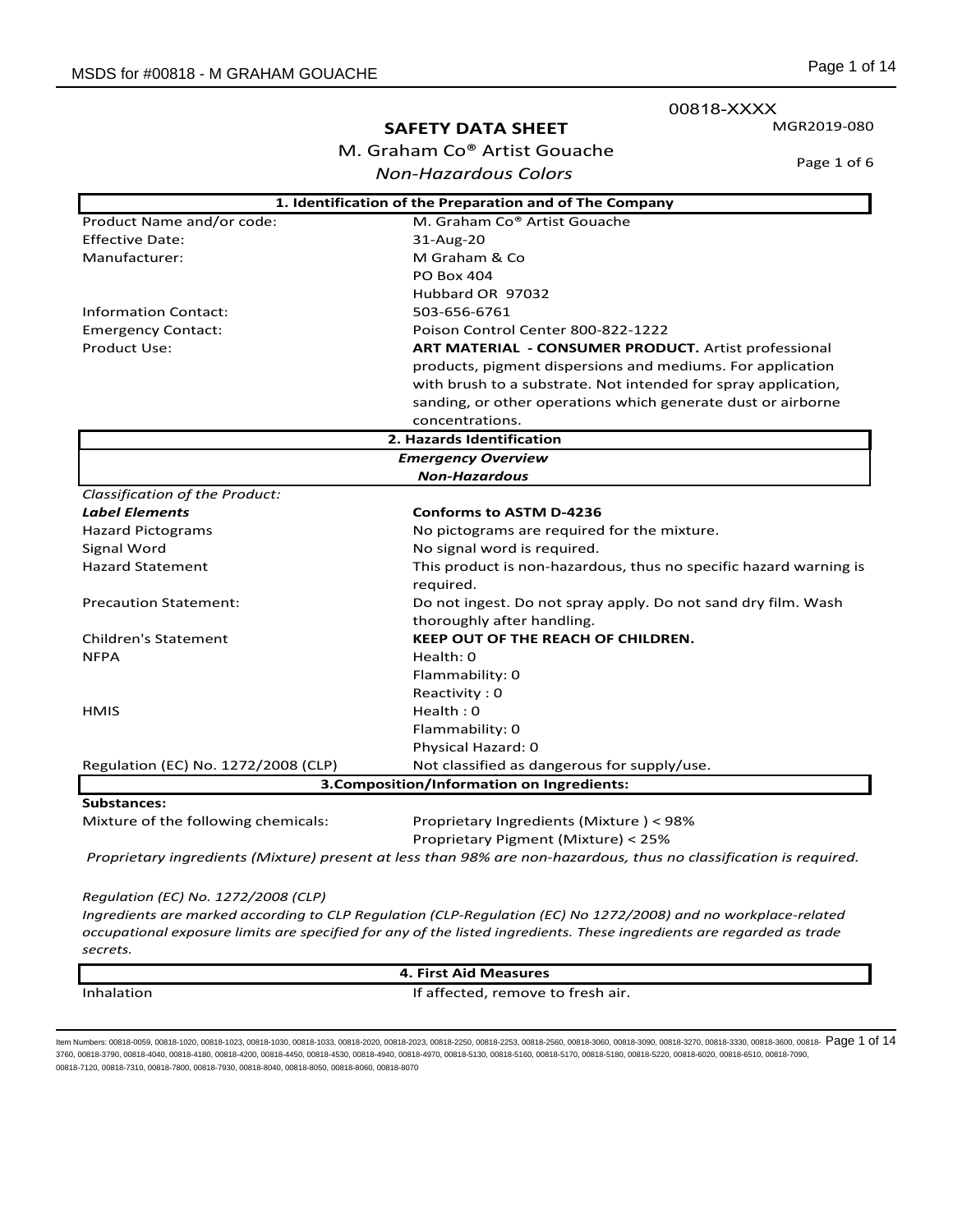00818-XXXX

### **SAFETY DATA SHEET**

M. Graham Co® Artist Gouache *Non-Hazardous Colors*

Page 1 of 6

MGR2019-080

| 1. Identification of the Preparation and of The Company |                                                                                                                   |  |
|---------------------------------------------------------|-------------------------------------------------------------------------------------------------------------------|--|
| Product Name and/or code:                               | M. Graham Co® Artist Gouache                                                                                      |  |
| <b>Effective Date:</b>                                  | 31-Aug-20                                                                                                         |  |
| Manufacturer:                                           | M Graham & Co                                                                                                     |  |
|                                                         | <b>PO Box 404</b>                                                                                                 |  |
|                                                         | Hubbard OR 97032                                                                                                  |  |
| <b>Information Contact:</b>                             | 503-656-6761                                                                                                      |  |
| <b>Emergency Contact:</b>                               | Poison Control Center 800-822-1222                                                                                |  |
| <b>Product Use:</b>                                     | <b>ART MATERIAL - CONSUMER PRODUCT.</b> Artist professional                                                       |  |
|                                                         | products, pigment dispersions and mediums. For application                                                        |  |
|                                                         | with brush to a substrate. Not intended for spray application,                                                    |  |
|                                                         | sanding, or other operations which generate dust or airborne                                                      |  |
|                                                         | concentrations.                                                                                                   |  |
|                                                         | 2. Hazards Identification                                                                                         |  |
|                                                         | <b>Emergency Overview</b>                                                                                         |  |
|                                                         | <b>Non-Hazardous</b>                                                                                              |  |
| Classification of the Product:                          |                                                                                                                   |  |
| <b>Label Elements</b>                                   | <b>Conforms to ASTM D-4236</b>                                                                                    |  |
| <b>Hazard Pictograms</b>                                | No pictograms are required for the mixture.                                                                       |  |
| Signal Word                                             | No signal word is required.                                                                                       |  |
| <b>Hazard Statement</b>                                 | This product is non-hazardous, thus no specific hazard warning is<br>required.                                    |  |
| <b>Precaution Statement:</b>                            | Do not ingest. Do not spray apply. Do not sand dry film. Wash                                                     |  |
|                                                         | thoroughly after handling.                                                                                        |  |
| <b>Children's Statement</b>                             | <b>KEEP OUT OF THE REACH OF CHILDREN.</b>                                                                         |  |
| <b>NFPA</b>                                             | Health: 0                                                                                                         |  |
|                                                         | Flammability: 0                                                                                                   |  |
|                                                         | Reactivity: 0                                                                                                     |  |
| <b>HMIS</b>                                             | Health: 0                                                                                                         |  |
|                                                         | Flammability: 0                                                                                                   |  |
|                                                         | Physical Hazard: 0                                                                                                |  |
| Regulation (EC) No. 1272/2008 (CLP)                     | Not classified as dangerous for supply/use.                                                                       |  |
| 3. Composition/Information on Ingredients:              |                                                                                                                   |  |
| <b>Substances:</b>                                      |                                                                                                                   |  |
| Mixture of the following chemicals:                     | Proprietary Ingredients (Mixture) < 98%                                                                           |  |
|                                                         | Proprietary Pigment (Mixture) < 25%                                                                               |  |
|                                                         | Proprietary ingredients (Mixture) present at less than 98% are non-hazardous, thus no classification is required. |  |

*Regulation (EC) No. 1272/2008 (CLP)*

*Ingredients are marked according to CLP Regulation (CLP-Regulation (EC) No 1272/2008) and no workplace-related occupational exposure limits are specified for any of the listed ingredients. These ingredients are regarded as trade secrets.* 

|            | 4. First Aid Measures             |  |
|------------|-----------------------------------|--|
| Inhalation | If affected, remove to fresh air. |  |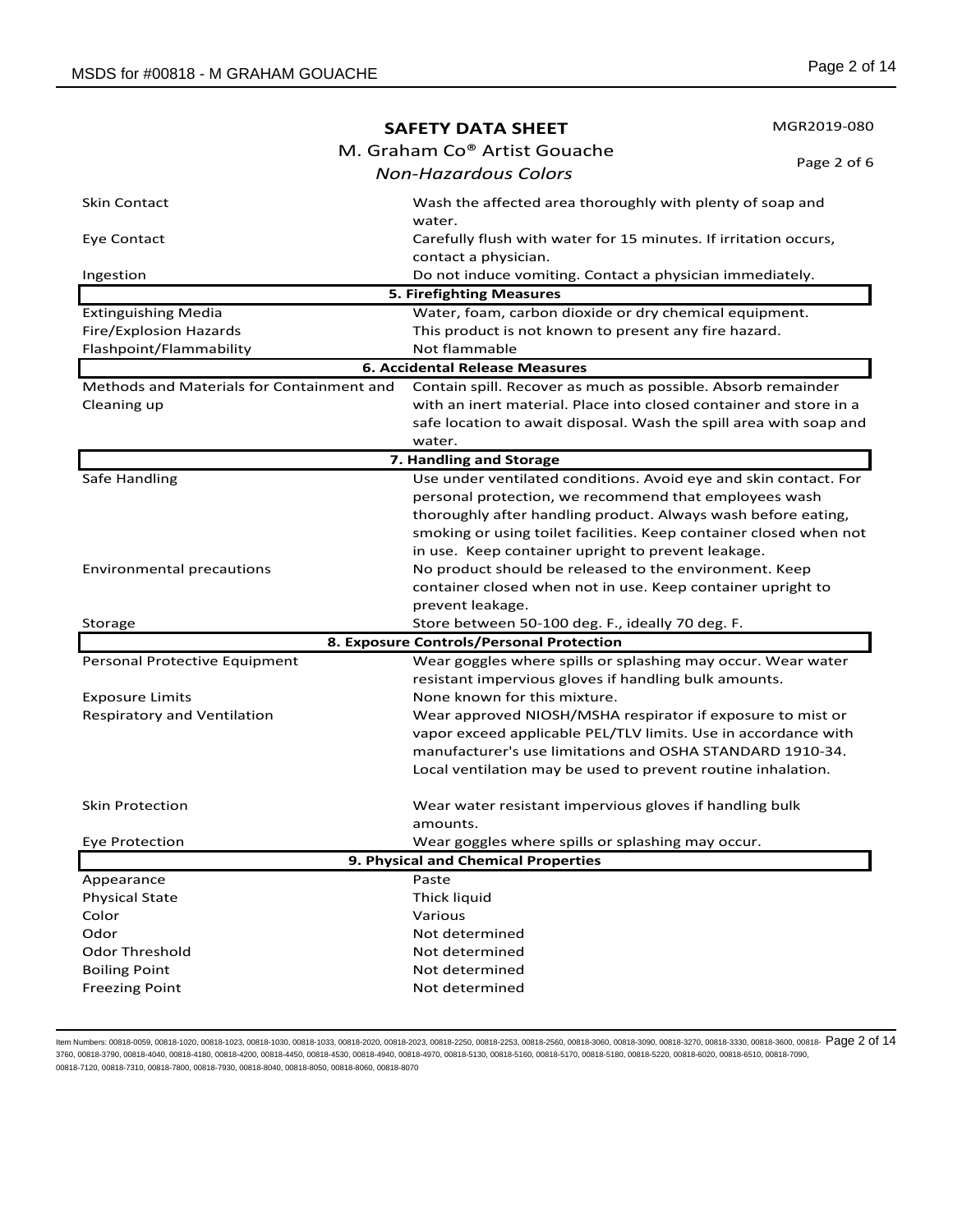|                                           | <b>SAFETY DATA SHEET</b>                                            | MGR2019-080 |
|-------------------------------------------|---------------------------------------------------------------------|-------------|
|                                           | M. Graham Co® Artist Gouache                                        |             |
|                                           | <b>Non-Hazardous Colors</b>                                         | Page 2 of 6 |
|                                           |                                                                     |             |
| <b>Skin Contact</b>                       | Wash the affected area thoroughly with plenty of soap and<br>water. |             |
| Eye Contact                               | Carefully flush with water for 15 minutes. If irritation occurs,    |             |
|                                           | contact a physician.                                                |             |
| Ingestion                                 | Do not induce vomiting. Contact a physician immediately.            |             |
|                                           | <b>5. Firefighting Measures</b>                                     |             |
| <b>Extinguishing Media</b>                | Water, foam, carbon dioxide or dry chemical equipment.              |             |
| Fire/Explosion Hazards                    | This product is not known to present any fire hazard.               |             |
| Flashpoint/Flammability                   | Not flammable                                                       |             |
|                                           | <b>6. Accidental Release Measures</b>                               |             |
| Methods and Materials for Containment and | Contain spill. Recover as much as possible. Absorb remainder        |             |
| Cleaning up                               | with an inert material. Place into closed container and store in a  |             |
|                                           | safe location to await disposal. Wash the spill area with soap and  |             |
|                                           | water.                                                              |             |
|                                           | 7. Handling and Storage                                             |             |
| Safe Handling                             | Use under ventilated conditions. Avoid eye and skin contact. For    |             |
|                                           | personal protection, we recommend that employees wash               |             |
|                                           | thoroughly after handling product. Always wash before eating,       |             |
|                                           | smoking or using toilet facilities. Keep container closed when not  |             |
|                                           | in use. Keep container upright to prevent leakage.                  |             |
| <b>Environmental precautions</b>          | No product should be released to the environment. Keep              |             |
|                                           | container closed when not in use. Keep container upright to         |             |
|                                           | prevent leakage.                                                    |             |
| Storage                                   | Store between 50-100 deg. F., ideally 70 deg. F.                    |             |
|                                           | 8. Exposure Controls/Personal Protection                            |             |
| Personal Protective Equipment             | Wear goggles where spills or splashing may occur. Wear water        |             |
|                                           | resistant impervious gloves if handling bulk amounts.               |             |
| <b>Exposure Limits</b>                    | None known for this mixture.                                        |             |
| <b>Respiratory and Ventilation</b>        | Wear approved NIOSH/MSHA respirator if exposure to mist or          |             |
|                                           | vapor exceed applicable PEL/TLV limits. Use in accordance with      |             |
|                                           | manufacturer's use limitations and OSHA STANDARD 1910-34.           |             |
|                                           | Local ventilation may be used to prevent routine inhalation.        |             |
|                                           |                                                                     |             |
| Skin Protection                           | Wear water resistant impervious gloves if handling bulk             |             |
|                                           | amounts.                                                            |             |
| Eye Protection                            | Wear goggles where spills or splashing may occur.                   |             |
|                                           | 9. Physical and Chemical Properties                                 |             |
| Appearance                                | Paste                                                               |             |
| <b>Physical State</b>                     | Thick liquid                                                        |             |
| Color                                     | Various                                                             |             |
| Odor                                      | Not determined                                                      |             |
| Odor Threshold                            | Not determined                                                      |             |
| <b>Boiling Point</b>                      | Not determined                                                      |             |
| <b>Freezing Point</b>                     | Not determined                                                      |             |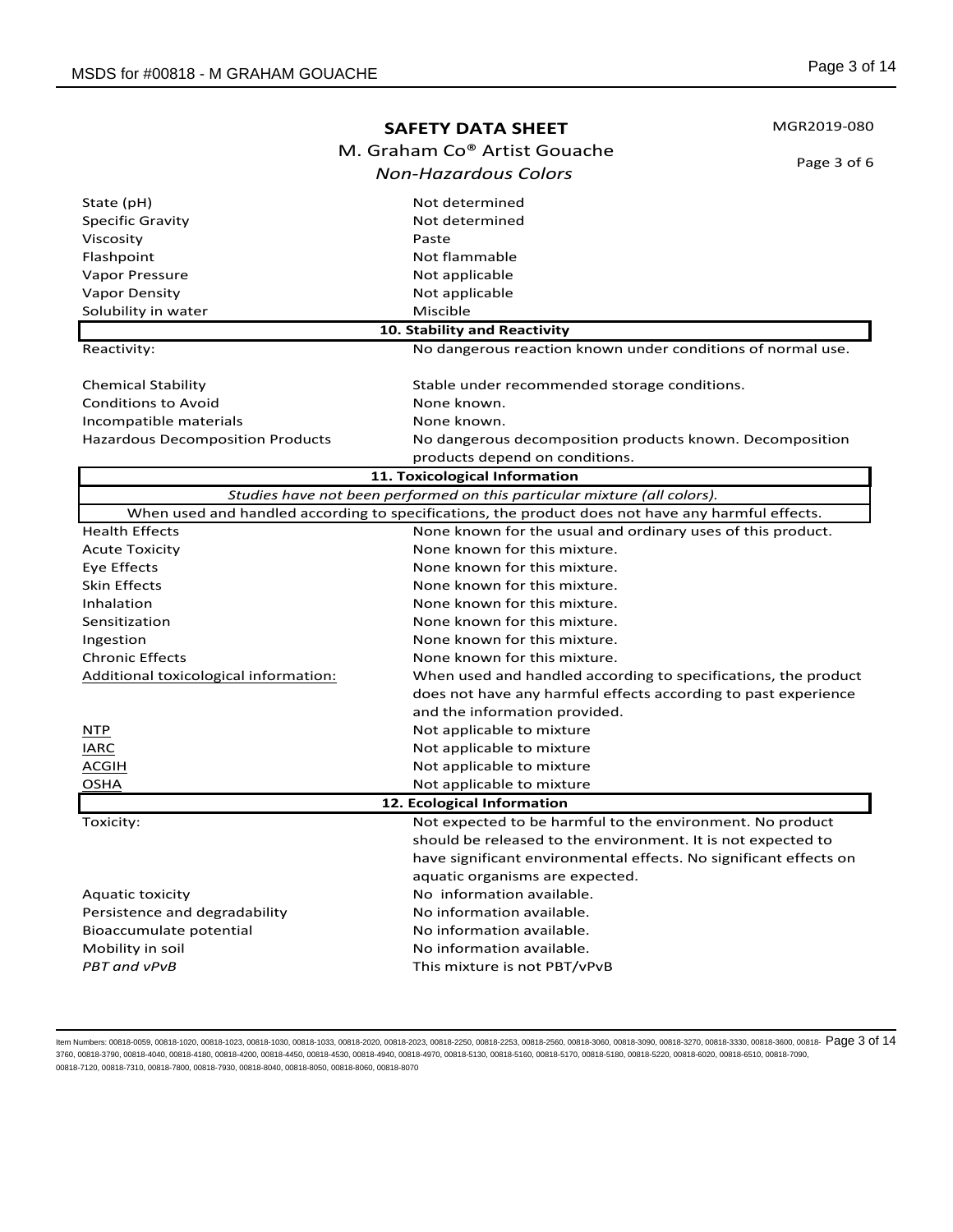| M. Graham Co® Artist Gouache<br>Page 3 of 6<br><b>Non-Hazardous Colors</b><br>State (pH)<br>Not determined<br><b>Specific Gravity</b><br>Not determined<br>Paste<br>Not flammable<br>Not applicable<br>Not applicable<br>Miscible<br>10. Stability and Reactivity<br>No dangerous reaction known under conditions of normal use.<br>Stable under recommended storage conditions.<br>None known.<br>None known.<br>No dangerous decomposition products known. Decomposition<br>products depend on conditions.<br>11. Toxicological Information<br>Studies have not been performed on this particular mixture (all colors).<br>When used and handled according to specifications, the product does not have any harmful effects.<br>Health Effects<br>None known for the usual and ordinary uses of this product.<br>None known for this mixture.<br><b>Acute Toxicity</b><br>Eye Effects<br>None known for this mixture.<br><b>Skin Effects</b><br>None known for this mixture.<br>None known for this mixture.<br>Inhalation<br>None known for this mixture.<br>Sensitization<br>None known for this mixture.<br>Ingestion<br><b>Chronic Effects</b><br>None known for this mixture.<br>Additional toxicological information:<br>When used and handled according to specifications, the product<br>does not have any harmful effects according to past experience<br>and the information provided.<br>Not applicable to mixture<br><u>NTP</u><br><b>IARC</b><br>Not applicable to mixture<br><b>ACGIH</b><br>Not applicable to mixture<br><b>OSHA</b><br>Not applicable to mixture |                                         | <b>SAFETY DATA SHEET</b> | MGR2019-080 |
|------------------------------------------------------------------------------------------------------------------------------------------------------------------------------------------------------------------------------------------------------------------------------------------------------------------------------------------------------------------------------------------------------------------------------------------------------------------------------------------------------------------------------------------------------------------------------------------------------------------------------------------------------------------------------------------------------------------------------------------------------------------------------------------------------------------------------------------------------------------------------------------------------------------------------------------------------------------------------------------------------------------------------------------------------------------------------------------------------------------------------------------------------------------------------------------------------------------------------------------------------------------------------------------------------------------------------------------------------------------------------------------------------------------------------------------------------------------------------------------------------------------------------------------------------------------------------------|-----------------------------------------|--------------------------|-------------|
|                                                                                                                                                                                                                                                                                                                                                                                                                                                                                                                                                                                                                                                                                                                                                                                                                                                                                                                                                                                                                                                                                                                                                                                                                                                                                                                                                                                                                                                                                                                                                                                    |                                         |                          |             |
|                                                                                                                                                                                                                                                                                                                                                                                                                                                                                                                                                                                                                                                                                                                                                                                                                                                                                                                                                                                                                                                                                                                                                                                                                                                                                                                                                                                                                                                                                                                                                                                    |                                         |                          |             |
|                                                                                                                                                                                                                                                                                                                                                                                                                                                                                                                                                                                                                                                                                                                                                                                                                                                                                                                                                                                                                                                                                                                                                                                                                                                                                                                                                                                                                                                                                                                                                                                    |                                         |                          |             |
|                                                                                                                                                                                                                                                                                                                                                                                                                                                                                                                                                                                                                                                                                                                                                                                                                                                                                                                                                                                                                                                                                                                                                                                                                                                                                                                                                                                                                                                                                                                                                                                    |                                         |                          |             |
|                                                                                                                                                                                                                                                                                                                                                                                                                                                                                                                                                                                                                                                                                                                                                                                                                                                                                                                                                                                                                                                                                                                                                                                                                                                                                                                                                                                                                                                                                                                                                                                    | Viscosity                               |                          |             |
|                                                                                                                                                                                                                                                                                                                                                                                                                                                                                                                                                                                                                                                                                                                                                                                                                                                                                                                                                                                                                                                                                                                                                                                                                                                                                                                                                                                                                                                                                                                                                                                    | Flashpoint                              |                          |             |
|                                                                                                                                                                                                                                                                                                                                                                                                                                                                                                                                                                                                                                                                                                                                                                                                                                                                                                                                                                                                                                                                                                                                                                                                                                                                                                                                                                                                                                                                                                                                                                                    | Vapor Pressure                          |                          |             |
|                                                                                                                                                                                                                                                                                                                                                                                                                                                                                                                                                                                                                                                                                                                                                                                                                                                                                                                                                                                                                                                                                                                                                                                                                                                                                                                                                                                                                                                                                                                                                                                    | <b>Vapor Density</b>                    |                          |             |
|                                                                                                                                                                                                                                                                                                                                                                                                                                                                                                                                                                                                                                                                                                                                                                                                                                                                                                                                                                                                                                                                                                                                                                                                                                                                                                                                                                                                                                                                                                                                                                                    | Solubility in water                     |                          |             |
|                                                                                                                                                                                                                                                                                                                                                                                                                                                                                                                                                                                                                                                                                                                                                                                                                                                                                                                                                                                                                                                                                                                                                                                                                                                                                                                                                                                                                                                                                                                                                                                    |                                         |                          |             |
|                                                                                                                                                                                                                                                                                                                                                                                                                                                                                                                                                                                                                                                                                                                                                                                                                                                                                                                                                                                                                                                                                                                                                                                                                                                                                                                                                                                                                                                                                                                                                                                    | Reactivity:                             |                          |             |
|                                                                                                                                                                                                                                                                                                                                                                                                                                                                                                                                                                                                                                                                                                                                                                                                                                                                                                                                                                                                                                                                                                                                                                                                                                                                                                                                                                                                                                                                                                                                                                                    | <b>Chemical Stability</b>               |                          |             |
|                                                                                                                                                                                                                                                                                                                                                                                                                                                                                                                                                                                                                                                                                                                                                                                                                                                                                                                                                                                                                                                                                                                                                                                                                                                                                                                                                                                                                                                                                                                                                                                    | <b>Conditions to Avoid</b>              |                          |             |
|                                                                                                                                                                                                                                                                                                                                                                                                                                                                                                                                                                                                                                                                                                                                                                                                                                                                                                                                                                                                                                                                                                                                                                                                                                                                                                                                                                                                                                                                                                                                                                                    | Incompatible materials                  |                          |             |
|                                                                                                                                                                                                                                                                                                                                                                                                                                                                                                                                                                                                                                                                                                                                                                                                                                                                                                                                                                                                                                                                                                                                                                                                                                                                                                                                                                                                                                                                                                                                                                                    | <b>Hazardous Decomposition Products</b> |                          |             |
|                                                                                                                                                                                                                                                                                                                                                                                                                                                                                                                                                                                                                                                                                                                                                                                                                                                                                                                                                                                                                                                                                                                                                                                                                                                                                                                                                                                                                                                                                                                                                                                    |                                         |                          |             |
|                                                                                                                                                                                                                                                                                                                                                                                                                                                                                                                                                                                                                                                                                                                                                                                                                                                                                                                                                                                                                                                                                                                                                                                                                                                                                                                                                                                                                                                                                                                                                                                    |                                         |                          |             |
|                                                                                                                                                                                                                                                                                                                                                                                                                                                                                                                                                                                                                                                                                                                                                                                                                                                                                                                                                                                                                                                                                                                                                                                                                                                                                                                                                                                                                                                                                                                                                                                    |                                         |                          |             |
|                                                                                                                                                                                                                                                                                                                                                                                                                                                                                                                                                                                                                                                                                                                                                                                                                                                                                                                                                                                                                                                                                                                                                                                                                                                                                                                                                                                                                                                                                                                                                                                    |                                         |                          |             |
|                                                                                                                                                                                                                                                                                                                                                                                                                                                                                                                                                                                                                                                                                                                                                                                                                                                                                                                                                                                                                                                                                                                                                                                                                                                                                                                                                                                                                                                                                                                                                                                    |                                         |                          |             |
|                                                                                                                                                                                                                                                                                                                                                                                                                                                                                                                                                                                                                                                                                                                                                                                                                                                                                                                                                                                                                                                                                                                                                                                                                                                                                                                                                                                                                                                                                                                                                                                    |                                         |                          |             |
|                                                                                                                                                                                                                                                                                                                                                                                                                                                                                                                                                                                                                                                                                                                                                                                                                                                                                                                                                                                                                                                                                                                                                                                                                                                                                                                                                                                                                                                                                                                                                                                    |                                         |                          |             |
|                                                                                                                                                                                                                                                                                                                                                                                                                                                                                                                                                                                                                                                                                                                                                                                                                                                                                                                                                                                                                                                                                                                                                                                                                                                                                                                                                                                                                                                                                                                                                                                    |                                         |                          |             |
|                                                                                                                                                                                                                                                                                                                                                                                                                                                                                                                                                                                                                                                                                                                                                                                                                                                                                                                                                                                                                                                                                                                                                                                                                                                                                                                                                                                                                                                                                                                                                                                    |                                         |                          |             |
|                                                                                                                                                                                                                                                                                                                                                                                                                                                                                                                                                                                                                                                                                                                                                                                                                                                                                                                                                                                                                                                                                                                                                                                                                                                                                                                                                                                                                                                                                                                                                                                    |                                         |                          |             |
|                                                                                                                                                                                                                                                                                                                                                                                                                                                                                                                                                                                                                                                                                                                                                                                                                                                                                                                                                                                                                                                                                                                                                                                                                                                                                                                                                                                                                                                                                                                                                                                    |                                         |                          |             |
|                                                                                                                                                                                                                                                                                                                                                                                                                                                                                                                                                                                                                                                                                                                                                                                                                                                                                                                                                                                                                                                                                                                                                                                                                                                                                                                                                                                                                                                                                                                                                                                    |                                         |                          |             |
|                                                                                                                                                                                                                                                                                                                                                                                                                                                                                                                                                                                                                                                                                                                                                                                                                                                                                                                                                                                                                                                                                                                                                                                                                                                                                                                                                                                                                                                                                                                                                                                    |                                         |                          |             |
|                                                                                                                                                                                                                                                                                                                                                                                                                                                                                                                                                                                                                                                                                                                                                                                                                                                                                                                                                                                                                                                                                                                                                                                                                                                                                                                                                                                                                                                                                                                                                                                    |                                         |                          |             |
|                                                                                                                                                                                                                                                                                                                                                                                                                                                                                                                                                                                                                                                                                                                                                                                                                                                                                                                                                                                                                                                                                                                                                                                                                                                                                                                                                                                                                                                                                                                                                                                    |                                         |                          |             |
|                                                                                                                                                                                                                                                                                                                                                                                                                                                                                                                                                                                                                                                                                                                                                                                                                                                                                                                                                                                                                                                                                                                                                                                                                                                                                                                                                                                                                                                                                                                                                                                    |                                         |                          |             |
|                                                                                                                                                                                                                                                                                                                                                                                                                                                                                                                                                                                                                                                                                                                                                                                                                                                                                                                                                                                                                                                                                                                                                                                                                                                                                                                                                                                                                                                                                                                                                                                    |                                         |                          |             |
|                                                                                                                                                                                                                                                                                                                                                                                                                                                                                                                                                                                                                                                                                                                                                                                                                                                                                                                                                                                                                                                                                                                                                                                                                                                                                                                                                                                                                                                                                                                                                                                    |                                         |                          |             |
| 12. Ecological Information                                                                                                                                                                                                                                                                                                                                                                                                                                                                                                                                                                                                                                                                                                                                                                                                                                                                                                                                                                                                                                                                                                                                                                                                                                                                                                                                                                                                                                                                                                                                                         |                                         |                          |             |
| Not expected to be harmful to the environment. No product                                                                                                                                                                                                                                                                                                                                                                                                                                                                                                                                                                                                                                                                                                                                                                                                                                                                                                                                                                                                                                                                                                                                                                                                                                                                                                                                                                                                                                                                                                                          | Toxicity:                               |                          |             |
| should be released to the environment. It is not expected to                                                                                                                                                                                                                                                                                                                                                                                                                                                                                                                                                                                                                                                                                                                                                                                                                                                                                                                                                                                                                                                                                                                                                                                                                                                                                                                                                                                                                                                                                                                       |                                         |                          |             |
| have significant environmental effects. No significant effects on                                                                                                                                                                                                                                                                                                                                                                                                                                                                                                                                                                                                                                                                                                                                                                                                                                                                                                                                                                                                                                                                                                                                                                                                                                                                                                                                                                                                                                                                                                                  |                                         |                          |             |
| aquatic organisms are expected.                                                                                                                                                                                                                                                                                                                                                                                                                                                                                                                                                                                                                                                                                                                                                                                                                                                                                                                                                                                                                                                                                                                                                                                                                                                                                                                                                                                                                                                                                                                                                    |                                         |                          |             |
| No information available.                                                                                                                                                                                                                                                                                                                                                                                                                                                                                                                                                                                                                                                                                                                                                                                                                                                                                                                                                                                                                                                                                                                                                                                                                                                                                                                                                                                                                                                                                                                                                          | Aquatic toxicity                        |                          |             |
| No information available.                                                                                                                                                                                                                                                                                                                                                                                                                                                                                                                                                                                                                                                                                                                                                                                                                                                                                                                                                                                                                                                                                                                                                                                                                                                                                                                                                                                                                                                                                                                                                          | Persistence and degradability           |                          |             |
| No information available.                                                                                                                                                                                                                                                                                                                                                                                                                                                                                                                                                                                                                                                                                                                                                                                                                                                                                                                                                                                                                                                                                                                                                                                                                                                                                                                                                                                                                                                                                                                                                          | Bioaccumulate potential                 |                          |             |
| No information available.                                                                                                                                                                                                                                                                                                                                                                                                                                                                                                                                                                                                                                                                                                                                                                                                                                                                                                                                                                                                                                                                                                                                                                                                                                                                                                                                                                                                                                                                                                                                                          | Mobility in soil                        |                          |             |
| This mixture is not PBT/vPvB                                                                                                                                                                                                                                                                                                                                                                                                                                                                                                                                                                                                                                                                                                                                                                                                                                                                                                                                                                                                                                                                                                                                                                                                                                                                                                                                                                                                                                                                                                                                                       | PBT and vPvB                            |                          |             |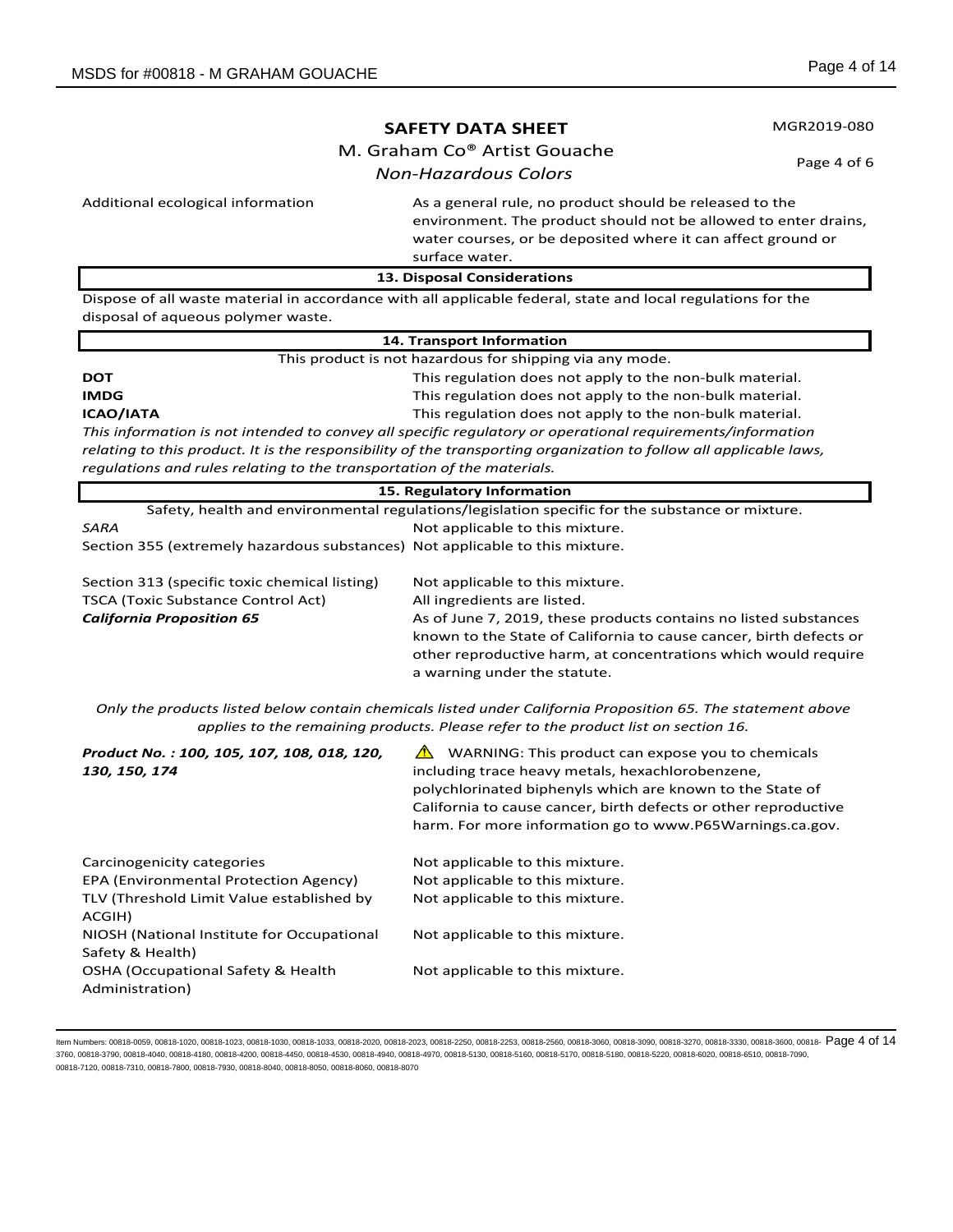MGR2019-080

# **SAFETY DATA SHEET**

M. Graham Co® Artist Gouache

Page 4 of 6

*Non-Hazardous Colors*

Additional ecological information **As a general rule, no product should be released to the** Additional extension environment. The product should not be allowed to enter drains, water courses, or be deposited where it can affect ground or surface water.

**13. Disposal Considerations**

Dispose of all waste material in accordance with all applicable federal, state and local regulations for the disposal of aqueous polymer waste.

|                                                                                                                    | 14. Transport Information                                                                       |  |
|--------------------------------------------------------------------------------------------------------------------|-------------------------------------------------------------------------------------------------|--|
|                                                                                                                    | This product is not hazardous for shipping via any mode.                                        |  |
| DOT                                                                                                                | This regulation does not apply to the non-bulk material.                                        |  |
| IMDG                                                                                                               | This regulation does not apply to the non-bulk material.                                        |  |
| ICAO/IATA                                                                                                          | This regulation does not apply to the non-bulk material.                                        |  |
| This information is not intended to convey all specific regulatory or operational reguirements/information         |                                                                                                 |  |
| relating to this product. It is the responsibility of the transporting organization to follow all applicable laws, |                                                                                                 |  |
| regulations and rules relating to the transportation of the materials.                                             |                                                                                                 |  |
|                                                                                                                    | 15. Regulatory Information                                                                      |  |
|                                                                                                                    | Safety, health and environmental regulations/legislation specific for the substance or mixture. |  |
| SARA                                                                                                               | Not applicable to this mixture.                                                                 |  |
| Section 355 (extremely hazardous substances) Not applicable to this mixture.                                       |                                                                                                 |  |
|                                                                                                                    |                                                                                                 |  |

| Not applicable to this mixture.                                    |
|--------------------------------------------------------------------|
| All ingredients are listed.                                        |
| As of June 7, 2019, these products contains no listed substances   |
| known to the State of California to cause cancer, birth defects or |
| other reproductive harm, at concentrations which would require     |
| a warning under the statute.                                       |
|                                                                    |

*Only the products listed below contain chemicals listed under California Proposition 65. The statement above applies to the remaining products. Please refer to the product list on section 16.* 

| Product No.: 100, 105, 107, 108, 018, 120,<br>130, 150, 174    | WARNING: This product can expose you to chemicals<br>including trace heavy metals, hexachlorobenzene,<br>polychlorinated biphenyls which are known to the State of<br>California to cause cancer, birth defects or other reproductive<br>harm. For more information go to www.P65Warnings.ca.gov. |
|----------------------------------------------------------------|---------------------------------------------------------------------------------------------------------------------------------------------------------------------------------------------------------------------------------------------------------------------------------------------------|
| Carcinogenicity categories                                     | Not applicable to this mixture.                                                                                                                                                                                                                                                                   |
| EPA (Environmental Protection Agency)                          | Not applicable to this mixture.                                                                                                                                                                                                                                                                   |
| TLV (Threshold Limit Value established by<br>ACGIH)            | Not applicable to this mixture.                                                                                                                                                                                                                                                                   |
| NIOSH (National Institute for Occupational<br>Safety & Health) | Not applicable to this mixture.                                                                                                                                                                                                                                                                   |
| OSHA (Occupational Safety & Health<br>Administration)          | Not applicable to this mixture.                                                                                                                                                                                                                                                                   |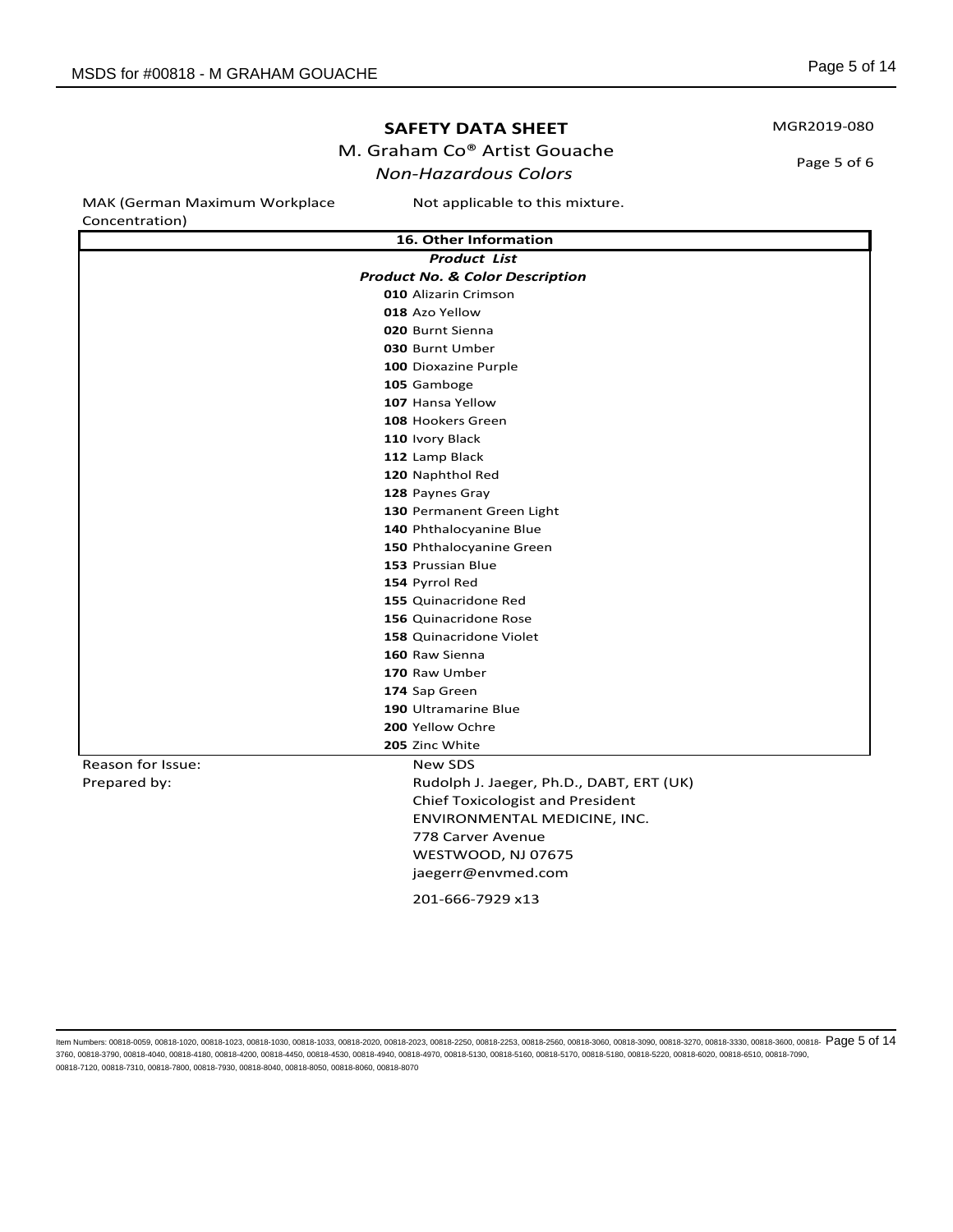# M. Graham Co® Artist Gouache

# *Non-Hazardous Colors*

MAK (German Maximum Workplace

Not applicable to this mixture.

| Concentration)    |                                            |
|-------------------|--------------------------------------------|
|                   | 16. Other Information                      |
|                   | <b>Product List</b>                        |
|                   | <b>Product No. &amp; Color Description</b> |
|                   | 010 Alizarin Crimson                       |
|                   | 018 Azo Yellow                             |
|                   | 020 Burnt Sienna                           |
|                   | 030 Burnt Umber                            |
|                   | 100 Dioxazine Purple                       |
|                   | 105 Gamboge                                |
|                   | 107 Hansa Yellow                           |
|                   | 108 Hookers Green                          |
|                   | 110 Ivory Black                            |
|                   | 112 Lamp Black                             |
|                   | 120 Naphthol Red                           |
|                   | 128 Paynes Gray                            |
|                   | 130 Permanent Green Light                  |
|                   | 140 Phthalocyanine Blue                    |
|                   | 150 Phthalocyanine Green                   |
|                   | 153 Prussian Blue                          |
|                   | 154 Pyrrol Red                             |
|                   | 155 Quinacridone Red                       |
|                   | 156 Quinacridone Rose                      |
|                   | 158 Quinacridone Violet                    |
|                   | 160 Raw Sienna                             |
|                   | 170 Raw Umber                              |
|                   | 174 Sap Green                              |
|                   | 190 Ultramarine Blue                       |
|                   | 200 Yellow Ochre                           |
|                   | 205 Zinc White                             |
| Reason for Issue: | New SDS                                    |
| Prepared by:      | Rudolph J. Jaeger, Ph.D., DABT, ERT (UK)   |
|                   | <b>Chief Toxicologist and President</b>    |
|                   | ENVIRONMENTAL MEDICINE, INC.               |
|                   | 778 Carver Avenue                          |
|                   | WESTWOOD, NJ 07675                         |
|                   | jaegerr@envmed.com                         |
|                   | 201-666-7929 x13                           |
|                   |                                            |

ltem Numbers: 00818-0059, 00818-1020, 00818-1023, 00818-1030, 00818-1033, 00818-2020, 00818-2252, 00818-2253, 00818-2550, 00818-300, 00818-3090, 00818-3090, 00818-3270, 00818-3330, 00818-3600, 00818-3600, 00818-3270, 00818 3760, 00818-3790, 00818-4040, 00818-4180, 00818-4200, 00818-4450, 00818-4530, 00818-4940, 00818-4970, 00818-5130, 00818-5160, 00818-5170, 00818-5180, 00818-5220, 00818-6020, 00818-6510, 00818-7090, 00818-7120, 00818-7310, 00818-7800, 00818-7930, 00818-8040, 00818-8050, 00818-8060, 00818-8070

MGR2019-080

Page 5 of 6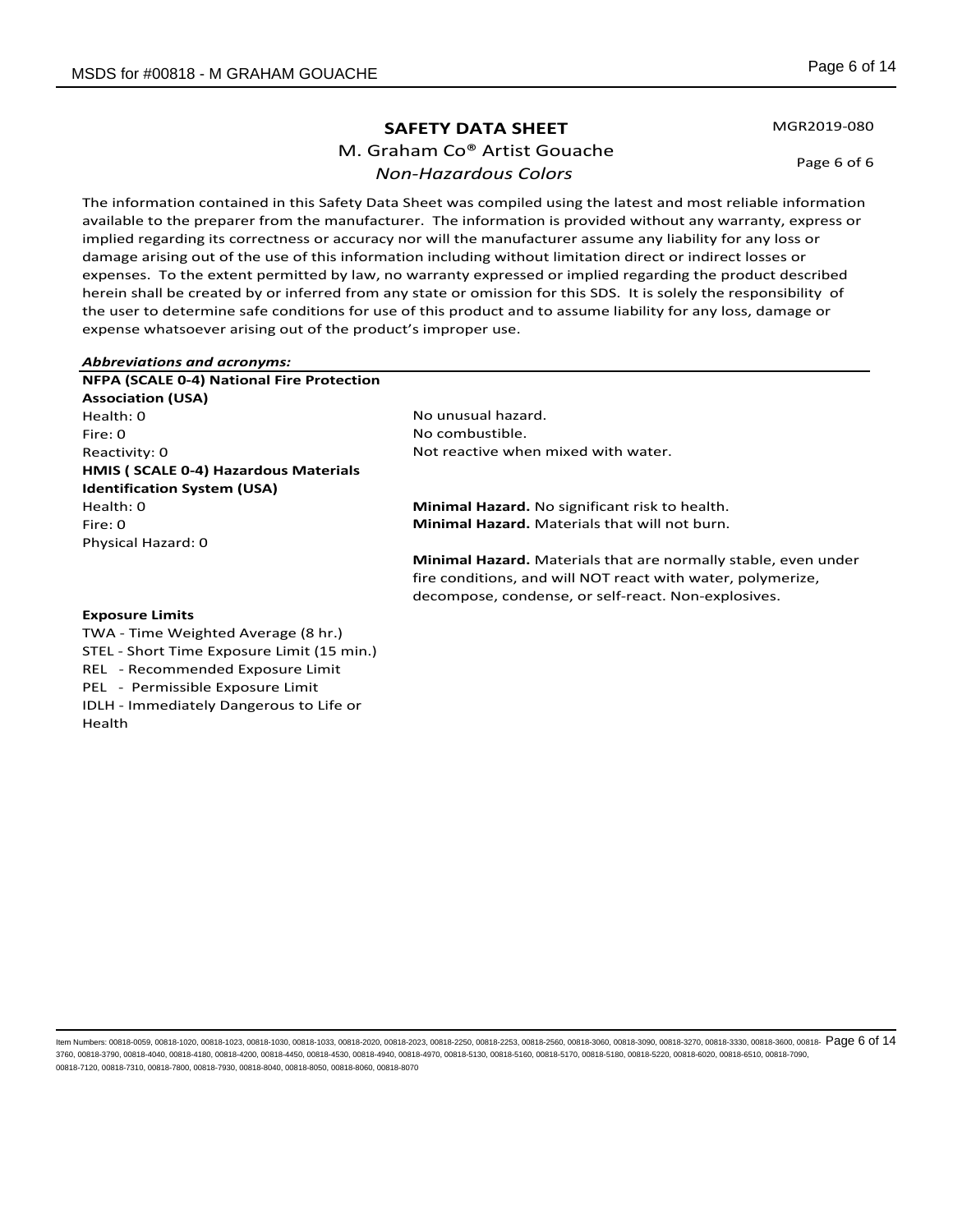M. Graham Co® Artist Gouache *Non-Hazardous Colors*

MGR2019-080

Page 6 of 6

The information contained in this Safety Data Sheet was compiled using the latest and most reliable information available to the preparer from the manufacturer. The information is provided without any warranty, express or implied regarding its correctness or accuracy nor will the manufacturer assume any liability for any loss or damage arising out of the use of this information including without limitation direct or indirect losses or expenses. To the extent permitted by law, no warranty expressed or implied regarding the product described herein shall be created by or inferred from any state or omission for this SDS. It is solely the responsibility of the user to determine safe conditions for use of this product and to assume liability for any loss, damage or expense whatsoever arising out of the product's improper use.

| <b>Abbreviations and acronyms:</b>        |                                                                                                                                                                                      |
|-------------------------------------------|--------------------------------------------------------------------------------------------------------------------------------------------------------------------------------------|
| NFPA (SCALE 0-4) National Fire Protection |                                                                                                                                                                                      |
| <b>Association (USA)</b>                  |                                                                                                                                                                                      |
| Health: 0                                 | No unusual hazard.                                                                                                                                                                   |
| Fire: 0                                   | No combustible.                                                                                                                                                                      |
| Reactivity: 0                             | Not reactive when mixed with water.                                                                                                                                                  |
| HMIS (SCALE 0-4) Hazardous Materials      |                                                                                                                                                                                      |
| <b>Identification System (USA)</b>        |                                                                                                                                                                                      |
| Health: 0                                 | Minimal Hazard. No significant risk to health.                                                                                                                                       |
| Fire: 0                                   | <b>Minimal Hazard.</b> Materials that will not burn.                                                                                                                                 |
| Physical Hazard: 0                        |                                                                                                                                                                                      |
|                                           | Minimal Hazard. Materials that are normally stable, even under<br>fire conditions, and will NOT react with water, polymerize,<br>decompose, condense, or self-react. Non-explosives. |
| <b>Exposure Limits</b>                    |                                                                                                                                                                                      |
| TWA - Time Weighted Average (8 hr.)       |                                                                                                                                                                                      |

STEL - Short Time Exposure Limit (15 min.) REL - Recommended Exposure Limit PEL - Permissible Exposure Limit

IDLH - Immediately Dangerous to Life or Health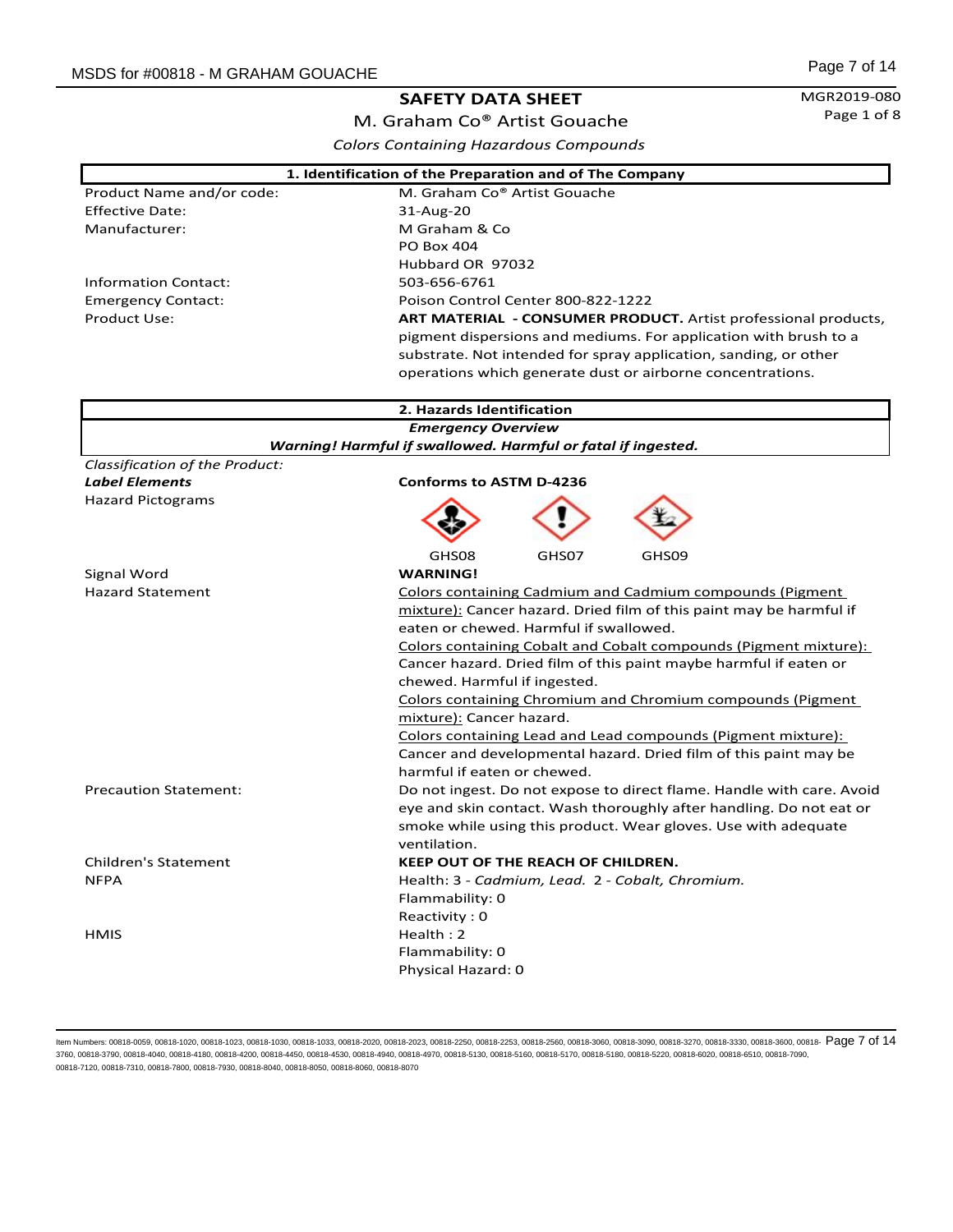MGR2019-080 Page 1 of 8

Ŧ

M. Graham Co® Artist Gouache *Colors Containing Hazardous Compounds*

| 1. Identification of the Preparation and of The Company |                                                                       |  |
|---------------------------------------------------------|-----------------------------------------------------------------------|--|
| Product Name and/or code:                               | M. Graham Co® Artist Gouache                                          |  |
| <b>Effective Date:</b>                                  | 31-Aug-20                                                             |  |
| Manufacturer:                                           | M Graham & Co                                                         |  |
|                                                         | PO Box 404                                                            |  |
|                                                         | Hubbard OR 97032                                                      |  |
| <b>Information Contact:</b>                             | 503-656-6761                                                          |  |
| <b>Emergency Contact:</b>                               | Poison Control Center 800-822-1222                                    |  |
| <b>Product Use:</b>                                     | ART MATERIAL - CONSUMER PRODUCT. Artist professional products,        |  |
|                                                         | pigment dispersions and mediums. For application with brush to a      |  |
|                                                         | substrate. Not intended for spray application, sanding, or other      |  |
|                                                         | operations which generate dust or airborne concentrations.            |  |
|                                                         |                                                                       |  |
|                                                         | 2. Hazards Identification                                             |  |
|                                                         | <b>Emergency Overview</b>                                             |  |
|                                                         | Warning! Harmful if swallowed. Harmful or fatal if ingested.          |  |
| Classification of the Product:                          |                                                                       |  |
| <b>Label Elements</b>                                   | <b>Conforms to ASTM D-4236</b>                                        |  |
| <b>Hazard Pictograms</b>                                |                                                                       |  |
|                                                         |                                                                       |  |
|                                                         |                                                                       |  |
|                                                         | GHS08<br>GHS07<br>GHS <sub>09</sub>                                   |  |
| Signal Word                                             | <b>WARNING!</b>                                                       |  |
| <b>Hazard Statement</b>                                 | Colors containing Cadmium and Cadmium compounds (Pigment              |  |
|                                                         | mixture): Cancer hazard. Dried film of this paint may be harmful if   |  |
|                                                         | eaten or chewed. Harmful if swallowed.                                |  |
|                                                         | Colors containing Cobalt and Cobalt compounds (Pigment mixture):      |  |
|                                                         | Cancer hazard. Dried film of this paint maybe harmful if eaten or     |  |
|                                                         | chewed. Harmful if ingested.                                          |  |
|                                                         | <b>Colors containing Chromium and Chromium compounds (Pigment)</b>    |  |
|                                                         | mixture): Cancer hazard.                                              |  |
|                                                         | Colors containing Lead and Lead compounds (Pigment mixture):          |  |
|                                                         | Cancer and developmental hazard. Dried film of this paint may be      |  |
|                                                         | harmful if eaten or chewed.                                           |  |
| <b>Precaution Statement:</b>                            | Do not ingest. Do not expose to direct flame. Handle with care. Avoid |  |
|                                                         | eye and skin contact. Wash thoroughly after handling. Do not eat or   |  |
|                                                         | smoke while using this product. Wear gloves. Use with adequate        |  |
|                                                         | ventilation.                                                          |  |
| <b>Children's Statement</b>                             | <b>KEEP OUT OF THE REACH OF CHILDREN.</b>                             |  |
| <b>NFPA</b>                                             | Health: 3 - Cadmium, Lead. 2 - Cobalt, Chromium.                      |  |
|                                                         | Flammability: 0                                                       |  |
|                                                         | Reactivity: 0                                                         |  |
| <b>HMIS</b>                                             | Health: 2                                                             |  |
|                                                         | Flammability: 0                                                       |  |
|                                                         | Physical Hazard: 0                                                    |  |
|                                                         |                                                                       |  |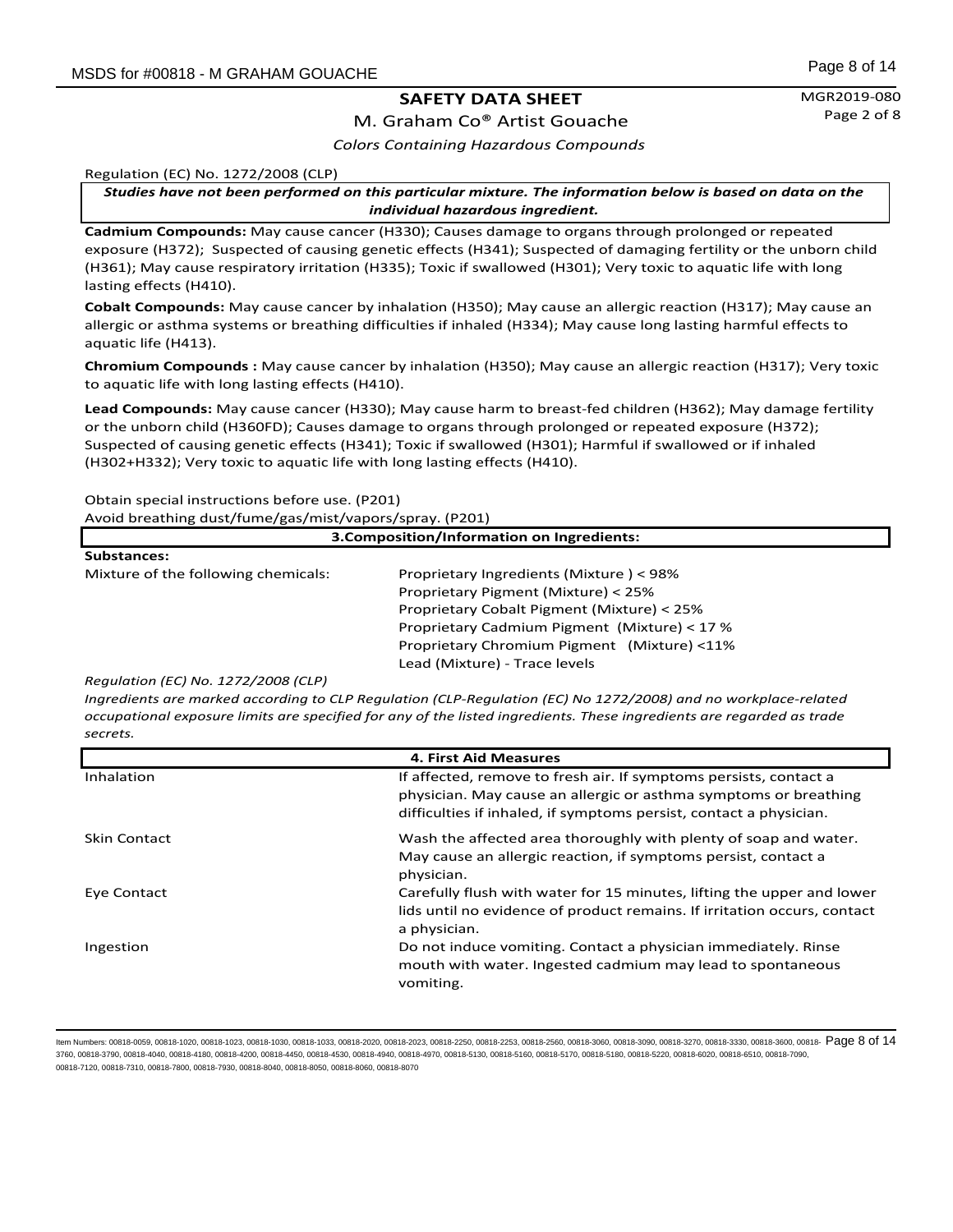M. Graham Co® Artist Gouache *Colors Containing Hazardous Compounds*

Regulation (EC) No. 1272/2008 (CLP)

*Studies have not been performed on this particular mixture. The information below is based on data on the individual hazardous ingredient.*

**Cadmium Compounds:** May cause cancer (H330); Causes damage to organs through prolonged or repeated exposure (H372); Suspected of causing genetic effects (H341); Suspected of damaging fertility or the unborn child (H361); May cause respiratory irritation (H335); Toxic if swallowed (H301); Very toxic to aquatic life with long lasting effects (H410).

**Cobalt Compounds:** May cause cancer by inhalation (H350); May cause an allergic reaction (H317); May cause an allergic or asthma systems or breathing difficulties if inhaled (H334); May cause long lasting harmful effects to aquatic life (H413).

**Chromium Compounds :** May cause cancer by inhalation (H350); May cause an allergic reaction (H317); Very toxic to aquatic life with long lasting effects (H410).

**Lead Compounds:** May cause cancer (H330); May cause harm to breast-fed children (H362); May damage fertility or the unborn child (H360FD); Causes damage to organs through prolonged or repeated exposure (H372); Suspected of causing genetic effects (H341); Toxic if swallowed (H301); Harmful if swallowed or if inhaled (H302+H332); Very toxic to aquatic life with long lasting effects (H410).

Obtain special instructions before use. (P201)

Avoid breathing dust/fume/gas/mist/vapors/spray. (P201)

| 3. Composition/Information on Ingredients: |                                              |  |
|--------------------------------------------|----------------------------------------------|--|
| <b>Substances:</b>                         |                                              |  |
| Mixture of the following chemicals:        | Proprietary Ingredients (Mixture) < 98%      |  |
|                                            | Proprietary Pigment (Mixture) < 25%          |  |
|                                            | Proprietary Cobalt Pigment (Mixture) < 25%   |  |
|                                            | Proprietary Cadmium Pigment (Mixture) < 17 % |  |
|                                            | Proprietary Chromium Pigment (Mixture) <11%  |  |
|                                            | Lead (Mixture) - Trace levels                |  |

*Regulation (EC) No. 1272/2008 (CLP)*

*Ingredients are marked according to CLP Regulation (CLP-Regulation (EC) No 1272/2008) and no workplace-related occupational exposure limits are specified for any of the listed ingredients. These ingredients are regarded as trade secrets.* 

| <b>4. First Aid Measures</b> |                                                                                                                                                                                                             |
|------------------------------|-------------------------------------------------------------------------------------------------------------------------------------------------------------------------------------------------------------|
| Inhalation                   | If affected, remove to fresh air. If symptoms persists, contact a<br>physician. May cause an allergic or asthma symptoms or breathing<br>difficulties if inhaled, if symptoms persist, contact a physician. |
| <b>Skin Contact</b>          | Wash the affected area thoroughly with plenty of soap and water.<br>May cause an allergic reaction, if symptoms persist, contact a<br>physician.                                                            |
| Eye Contact                  | Carefully flush with water for 15 minutes, lifting the upper and lower<br>lids until no evidence of product remains. If irritation occurs, contact<br>a physician.                                          |
| Ingestion                    | Do not induce vomiting. Contact a physician immediately. Rinse<br>mouth with water. Ingested cadmium may lead to spontaneous<br>vomiting.                                                                   |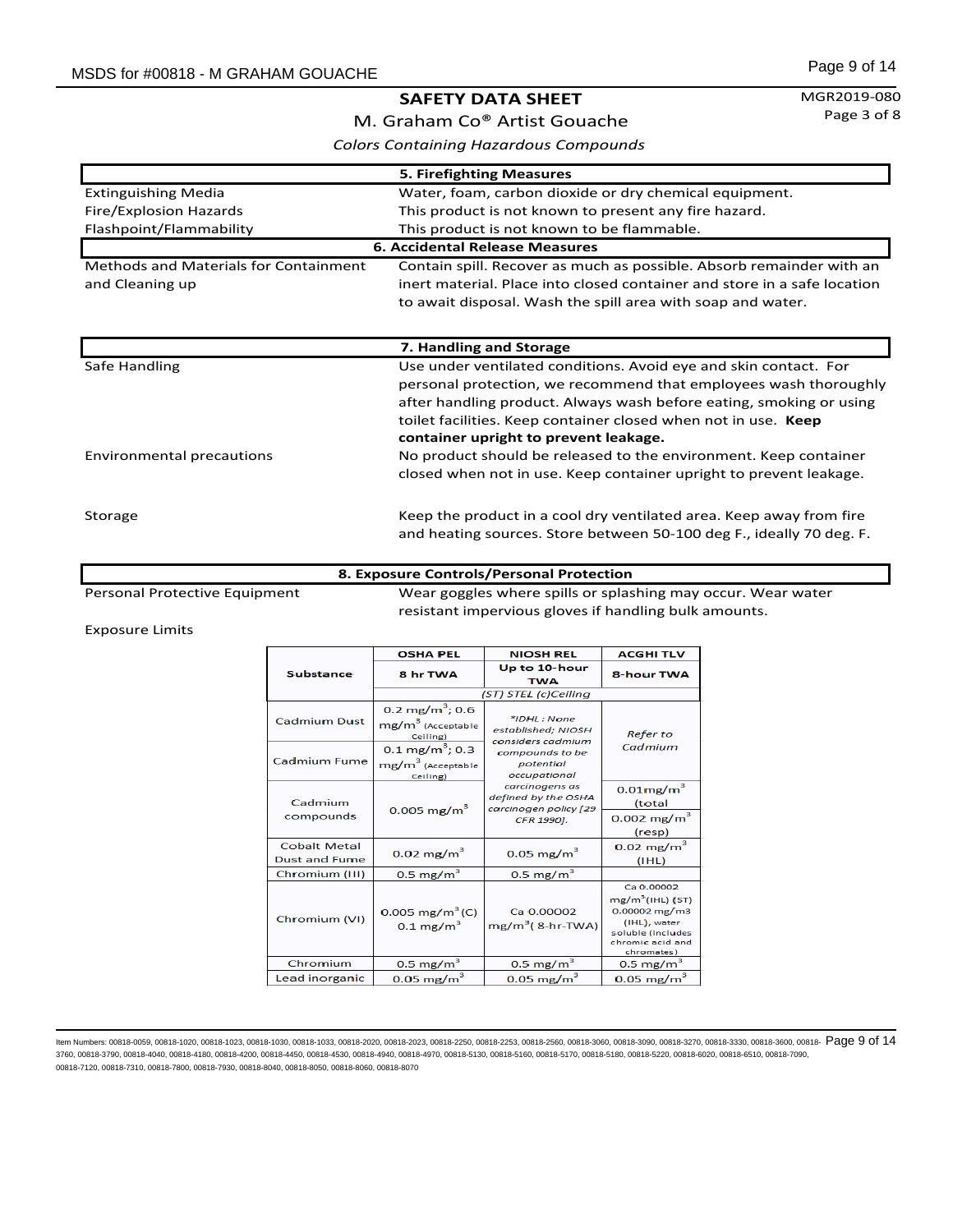#### MGR2019-080 Page 3 of 8

M. Graham Co® Artist Gouache *Colors Containing Hazardous Compounds*

| 5. Firefighting Measures                     |                                                                          |  |
|----------------------------------------------|--------------------------------------------------------------------------|--|
| <b>Extinguishing Media</b>                   | Water, foam, carbon dioxide or dry chemical equipment.                   |  |
| Fire/Explosion Hazards                       | This product is not known to present any fire hazard.                    |  |
| Flashpoint/Flammability                      | This product is not known to be flammable.                               |  |
|                                              | <b>6. Accidental Release Measures</b>                                    |  |
| <b>Methods and Materials for Containment</b> | Contain spill. Recover as much as possible. Absorb remainder with an     |  |
| and Cleaning up                              | inert material. Place into closed container and store in a safe location |  |
|                                              | to await disposal. Wash the spill area with soap and water.              |  |
|                                              |                                                                          |  |
|                                              |                                                                          |  |
|                                              | 7. Handling and Storage                                                  |  |
| Safe Handling                                | Use under ventilated conditions. Avoid eye and skin contact. For         |  |
|                                              | personal protection, we recommend that employees wash thoroughly         |  |
|                                              | after handling product. Always wash before eating, smoking or using      |  |
|                                              | toilet facilities. Keep container closed when not in use. Keep           |  |
|                                              | container upright to prevent leakage.                                    |  |
| Environmental precautions                    | No product should be released to the environment. Keep container         |  |
|                                              | closed when not in use. Keep container upright to prevent leakage.       |  |
|                                              |                                                                          |  |
| Storage                                      | Keep the product in a cool dry ventilated area. Keep away from fire      |  |
|                                              | and heating sources. Store between 50-100 deg F., ideally 70 deg. F.     |  |
|                                              |                                                                          |  |

#### **8. Exposure Controls/Personal Protection**

Personal Protective Equipment Wear goggles where spills or splashing may occur. Wear water resistant impervious gloves if handling bulk amounts.

Exposure Limits

|                                             | <b>OSHA PEL</b>                                                         | <b>NIOSH REL</b>                                               | <b>ACGHI TLV</b>                                                                                                                     |
|---------------------------------------------|-------------------------------------------------------------------------|----------------------------------------------------------------|--------------------------------------------------------------------------------------------------------------------------------------|
| <b>Substance</b>                            | 8 hr TWA                                                                | Up to 10-hour<br><b>TWA</b>                                    | <b>8-hour TWA</b>                                                                                                                    |
|                                             |                                                                         | (ST) STEL (c)Ceiling                                           |                                                                                                                                      |
| <b>Cadmium Dust</b>                         | $0.2 \text{ mg/m}^3$ ; 0.6<br>mg/m <sup>3</sup> (Acceptable<br>Ceiling) | $*$ IDHI: None<br>established; NIOSH<br>considers cadmium      | <b>Refer to</b>                                                                                                                      |
| <b>Cadmium Fume</b>                         | $0.1 \text{ mg/m}^3$ ; 0.3<br>mg/m <sup>3</sup> (Acceptable<br>Ceiling) | compounds to be<br>potential<br>occupational                   | Cadmium                                                                                                                              |
| Cadmium                                     | $0.005$ mg/m <sup>3</sup>                                               | carcinogens as<br>defined by the OSHA<br>carcinogen policy [29 | $0.01$ mg/m $3$<br>(total                                                                                                            |
| compounds                                   |                                                                         | CFR 1990].                                                     | $0.002 \text{ mg/m}^3$<br>(resp)                                                                                                     |
| <b>Cobalt Metal</b><br><b>Dust and Fume</b> | $0.02 \text{ mg/m}^3$                                                   | $0.05$ mg/m <sup>3</sup>                                       | $0.02$ mg/m <sup>3</sup><br>(IHL)                                                                                                    |
| Chromium (III)                              | $0.5 \text{ mg/m}^3$                                                    | $0.5 \text{ mg/m}^3$                                           |                                                                                                                                      |
| Chromium (VI)                               | $0.005$ mg/m <sup>3</sup> (C)<br>$0.1 \text{ mg/m}^3$                   | Ca 0.00002<br>$mg/m^3$ (8-hr-TWA)                              | Ca 0.00002<br>mg/m <sup>3</sup> (IHL) (ST)<br>$0.00002$ mg/m3<br>(IHL), water<br>soluble (includes<br>chromic acid and<br>chromates) |
| Chromium                                    | $0.5 \text{ mg/m}^3$                                                    | $0.5 \text{ mg/m}^3$                                           | $0.5 \text{ mg/m}^3$                                                                                                                 |
| Lead inorganic                              | $0.05 \text{ mg/m}^3$                                                   | $0.05 \text{ mg/m}^3$                                          | $0.05 \text{ mg/m}^3$                                                                                                                |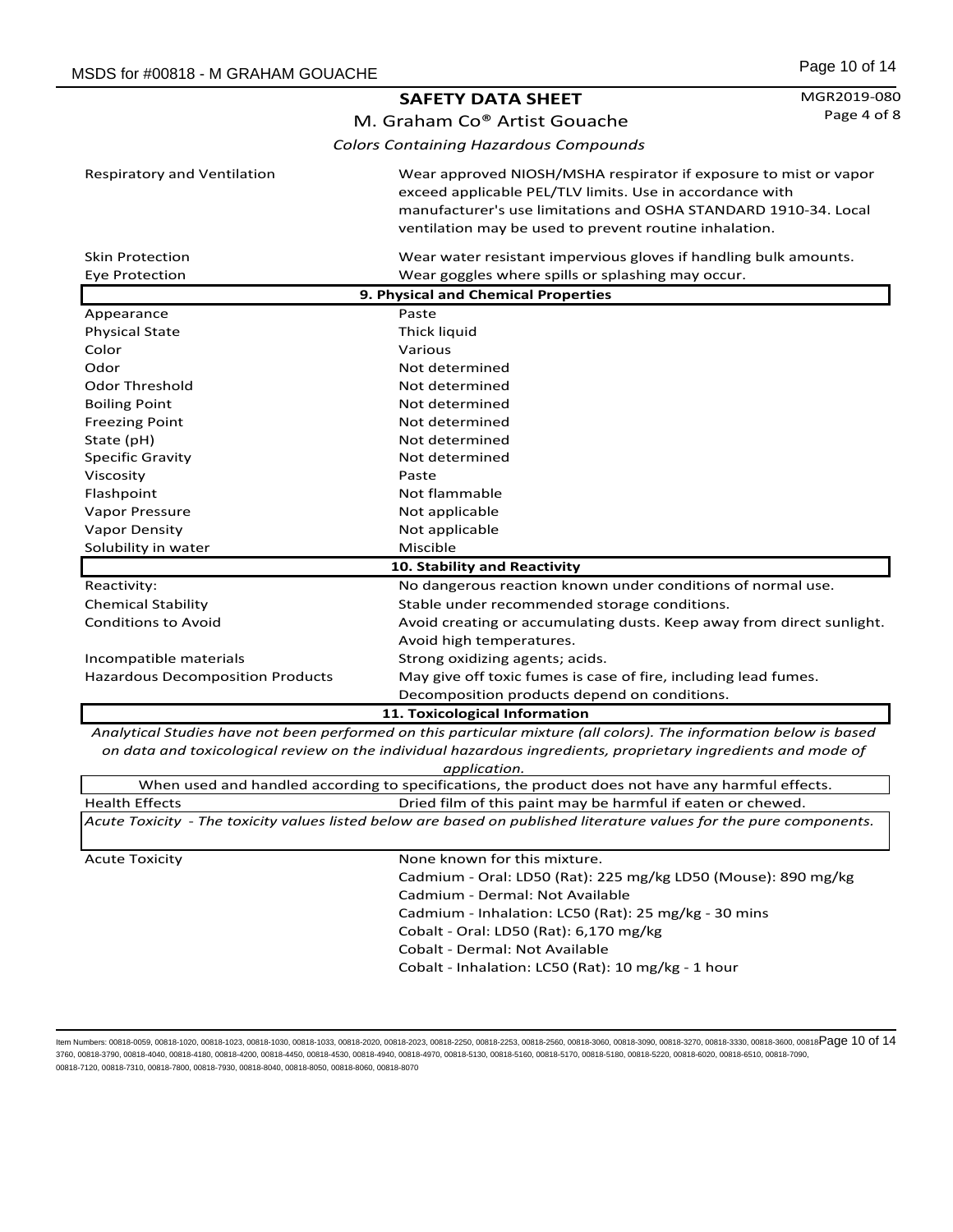| Page 10 of 14 |  |  |
|---------------|--|--|
|               |  |  |

|                                         | <b>SAFETY DATA SHEET</b>                                                                                                                                                                                                                                  | MGR2019-080 |
|-----------------------------------------|-----------------------------------------------------------------------------------------------------------------------------------------------------------------------------------------------------------------------------------------------------------|-------------|
|                                         | M. Graham Co® Artist Gouache                                                                                                                                                                                                                              | Page 4 of 8 |
|                                         | <b>Colors Containing Hazardous Compounds</b>                                                                                                                                                                                                              |             |
| <b>Respiratory and Ventilation</b>      | Wear approved NIOSH/MSHA respirator if exposure to mist or vapor<br>exceed applicable PEL/TLV limits. Use in accordance with<br>manufacturer's use limitations and OSHA STANDARD 1910-34. Local<br>ventilation may be used to prevent routine inhalation. |             |
| <b>Skin Protection</b>                  | Wear water resistant impervious gloves if handling bulk amounts.                                                                                                                                                                                          |             |
| <b>Eye Protection</b>                   | Wear goggles where spills or splashing may occur.                                                                                                                                                                                                         |             |
|                                         | 9. Physical and Chemical Properties                                                                                                                                                                                                                       |             |
| Appearance                              | Paste                                                                                                                                                                                                                                                     |             |
| <b>Physical State</b>                   | Thick liquid                                                                                                                                                                                                                                              |             |
| Color                                   | Various                                                                                                                                                                                                                                                   |             |
| Odor                                    | Not determined                                                                                                                                                                                                                                            |             |
| <b>Odor Threshold</b>                   | Not determined                                                                                                                                                                                                                                            |             |
| <b>Boiling Point</b>                    | Not determined                                                                                                                                                                                                                                            |             |
| <b>Freezing Point</b>                   | Not determined                                                                                                                                                                                                                                            |             |
| State (pH)                              | Not determined                                                                                                                                                                                                                                            |             |
| Specific Gravity                        | Not determined                                                                                                                                                                                                                                            |             |
| Viscosity                               | Paste                                                                                                                                                                                                                                                     |             |
| Flashpoint                              | Not flammable                                                                                                                                                                                                                                             |             |
| Vapor Pressure                          | Not applicable                                                                                                                                                                                                                                            |             |
| Vapor Density                           | Not applicable                                                                                                                                                                                                                                            |             |
| Solubility in water                     | Miscible                                                                                                                                                                                                                                                  |             |
| 10. Stability and Reactivity            |                                                                                                                                                                                                                                                           |             |
| Reactivity:                             | No dangerous reaction known under conditions of normal use.                                                                                                                                                                                               |             |
| <b>Chemical Stability</b>               | Stable under recommended storage conditions.                                                                                                                                                                                                              |             |
| <b>Conditions to Avoid</b>              | Avoid creating or accumulating dusts. Keep away from direct sunlight.                                                                                                                                                                                     |             |
|                                         | Avoid high temperatures.                                                                                                                                                                                                                                  |             |
| Incompatible materials                  | Strong oxidizing agents; acids.                                                                                                                                                                                                                           |             |
| <b>Hazardous Decomposition Products</b> | May give off toxic fumes is case of fire, including lead fumes.                                                                                                                                                                                           |             |
|                                         | Decomposition products depend on conditions.                                                                                                                                                                                                              |             |
|                                         | 11. Toxicological Information                                                                                                                                                                                                                             |             |

*Analytical Studies have not been performed on this particular mixture (all colors). The information below is based on data and toxicological review on the individual hazardous ingredients, proprietary ingredients and mode of application.*

|                       | ,,,,,,,,,,,,,,                                                                                                      |
|-----------------------|---------------------------------------------------------------------------------------------------------------------|
|                       | When used and handled according to specifications, the product does not have any harmful effects.                   |
| <b>Health Effects</b> | Dried film of this paint may be harmful if eaten or chewed.                                                         |
|                       | Acute Toxicity - The toxicity values listed below are based on published literature values for the pure components. |
|                       |                                                                                                                     |
| <b>Acute Toxicity</b> | None known for this mixture.                                                                                        |
|                       | Cadmium - Oral: LD50 (Rat): 225 mg/kg LD50 (Mouse): 890 mg/kg                                                       |
|                       | Cadmium - Dermal: Not Available                                                                                     |
|                       | Cadmium - Inhalation: LC50 (Rat): 25 mg/kg - 30 mins                                                                |
|                       | Cobalt - Oral: LD50 (Rat): 6,170 mg/kg                                                                              |
|                       | Cobalt - Dermal: Not Available                                                                                      |
|                       | Cobalt - Inhalation: LC50 (Rat): 10 mg/kg - 1 hour                                                                  |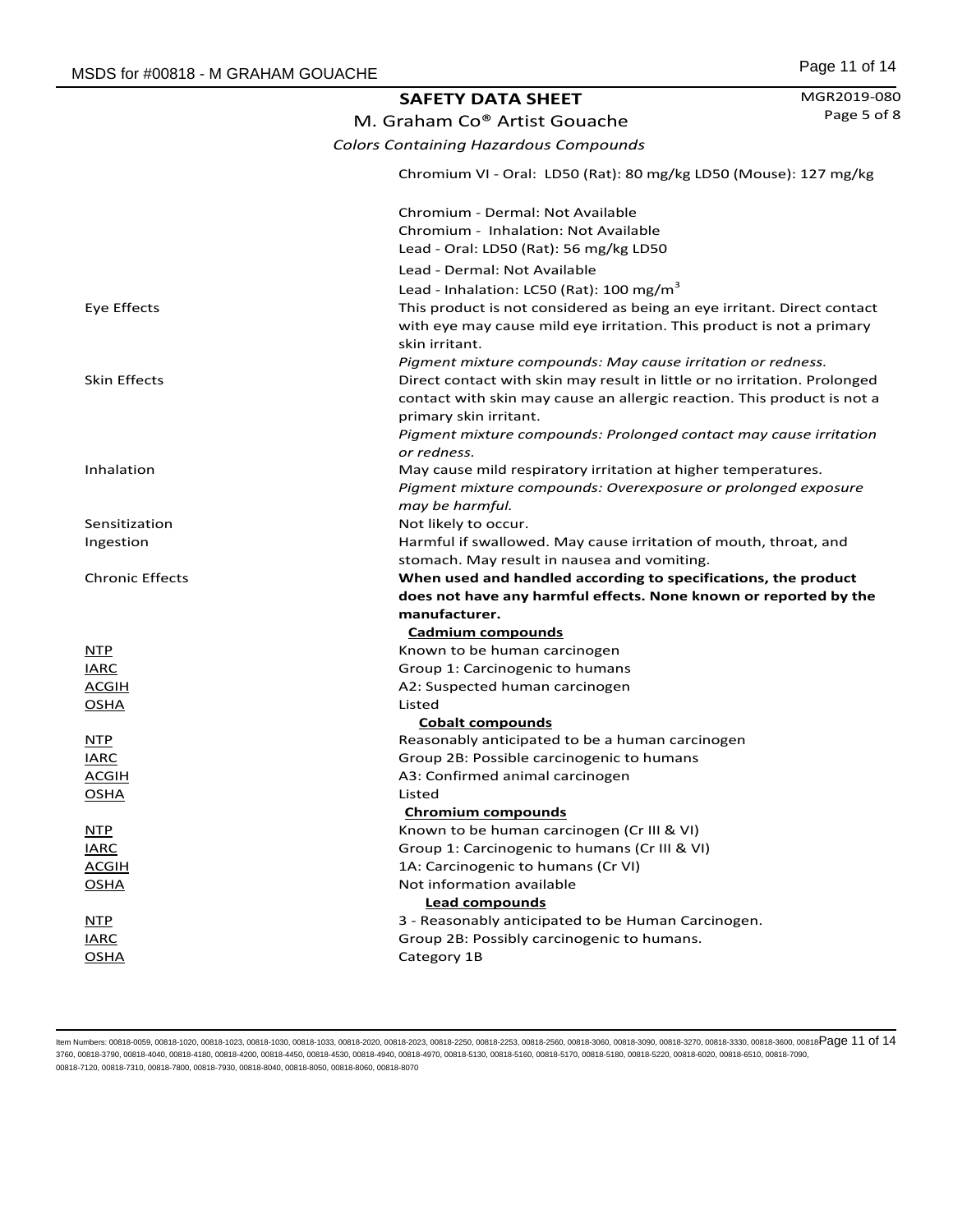|                        | <b>SAFETY DATA SHEET</b>                                                                                                                                                                                            | MGR2019-080 |
|------------------------|---------------------------------------------------------------------------------------------------------------------------------------------------------------------------------------------------------------------|-------------|
|                        | M. Graham Co® Artist Gouache                                                                                                                                                                                        | Page 5 of 8 |
|                        | <b>Colors Containing Hazardous Compounds</b>                                                                                                                                                                        |             |
|                        | Chromium VI - Oral: LD50 (Rat): 80 mg/kg LD50 (Mouse): 127 mg/kg                                                                                                                                                    |             |
|                        | Chromium - Dermal: Not Available                                                                                                                                                                                    |             |
|                        | Chromium - Inhalation: Not Available<br>Lead - Oral: LD50 (Rat): 56 mg/kg LD50                                                                                                                                      |             |
|                        | Lead - Dermal: Not Available                                                                                                                                                                                        |             |
|                        | Lead - Inhalation: LC50 (Rat): 100 mg/m <sup>3</sup>                                                                                                                                                                |             |
| Eye Effects            | This product is not considered as being an eye irritant. Direct contact<br>with eye may cause mild eye irritation. This product is not a primary<br>skin irritant.                                                  |             |
| <b>Skin Effects</b>    | Pigment mixture compounds: May cause irritation or redness.<br>Direct contact with skin may result in little or no irritation. Prolonged<br>contact with skin may cause an allergic reaction. This product is not a |             |
|                        | primary skin irritant.<br>Pigment mixture compounds: Prolonged contact may cause irritation<br>or redness.                                                                                                          |             |
| Inhalation             | May cause mild respiratory irritation at higher temperatures.<br>Pigment mixture compounds: Overexposure or prolonged exposure<br>may be harmful.                                                                   |             |
| Sensitization          | Not likely to occur.                                                                                                                                                                                                |             |
| Ingestion              | Harmful if swallowed. May cause irritation of mouth, throat, and                                                                                                                                                    |             |
|                        | stomach. May result in nausea and vomiting.                                                                                                                                                                         |             |
| <b>Chronic Effects</b> | When used and handled according to specifications, the product                                                                                                                                                      |             |
|                        | does not have any harmful effects. None known or reported by the                                                                                                                                                    |             |
|                        | manufacturer.                                                                                                                                                                                                       |             |
|                        | <b>Cadmium compounds</b>                                                                                                                                                                                            |             |
| <b>NTP</b>             | Known to be human carcinogen                                                                                                                                                                                        |             |
| <b>IARC</b>            | Group 1: Carcinogenic to humans                                                                                                                                                                                     |             |
| <b>ACGIH</b>           | A2: Suspected human carcinogen                                                                                                                                                                                      |             |
| <b>OSHA</b>            | Listed                                                                                                                                                                                                              |             |
|                        | <b>Cobalt compounds</b>                                                                                                                                                                                             |             |
| <b>NTP</b>             | Reasonably anticipated to be a human carcinogen                                                                                                                                                                     |             |
| <b>IARC</b>            | Group 2B: Possible carcinogenic to humans                                                                                                                                                                           |             |
| <u>ACGIH</u>           | A3: Confirmed animal carcinogen                                                                                                                                                                                     |             |
| <b>OSHA</b>            | Listed<br><b>Chromium compounds</b>                                                                                                                                                                                 |             |
| <b>NTP</b>             | Known to be human carcinogen (Cr III & VI)                                                                                                                                                                          |             |
| <b>IARC</b>            | Group 1: Carcinogenic to humans (Cr III & VI)                                                                                                                                                                       |             |
| <b>ACGIH</b>           | 1A: Carcinogenic to humans (Cr VI)                                                                                                                                                                                  |             |
| <b>OSHA</b>            | Not information available                                                                                                                                                                                           |             |
|                        | <b>Lead compounds</b>                                                                                                                                                                                               |             |
| NTP                    | 3 - Reasonably anticipated to be Human Carcinogen.                                                                                                                                                                  |             |
| <b>IARC</b>            | Group 2B: Possibly carcinogenic to humans.                                                                                                                                                                          |             |
| <b>OSHA</b>            | Category 1B                                                                                                                                                                                                         |             |
|                        |                                                                                                                                                                                                                     |             |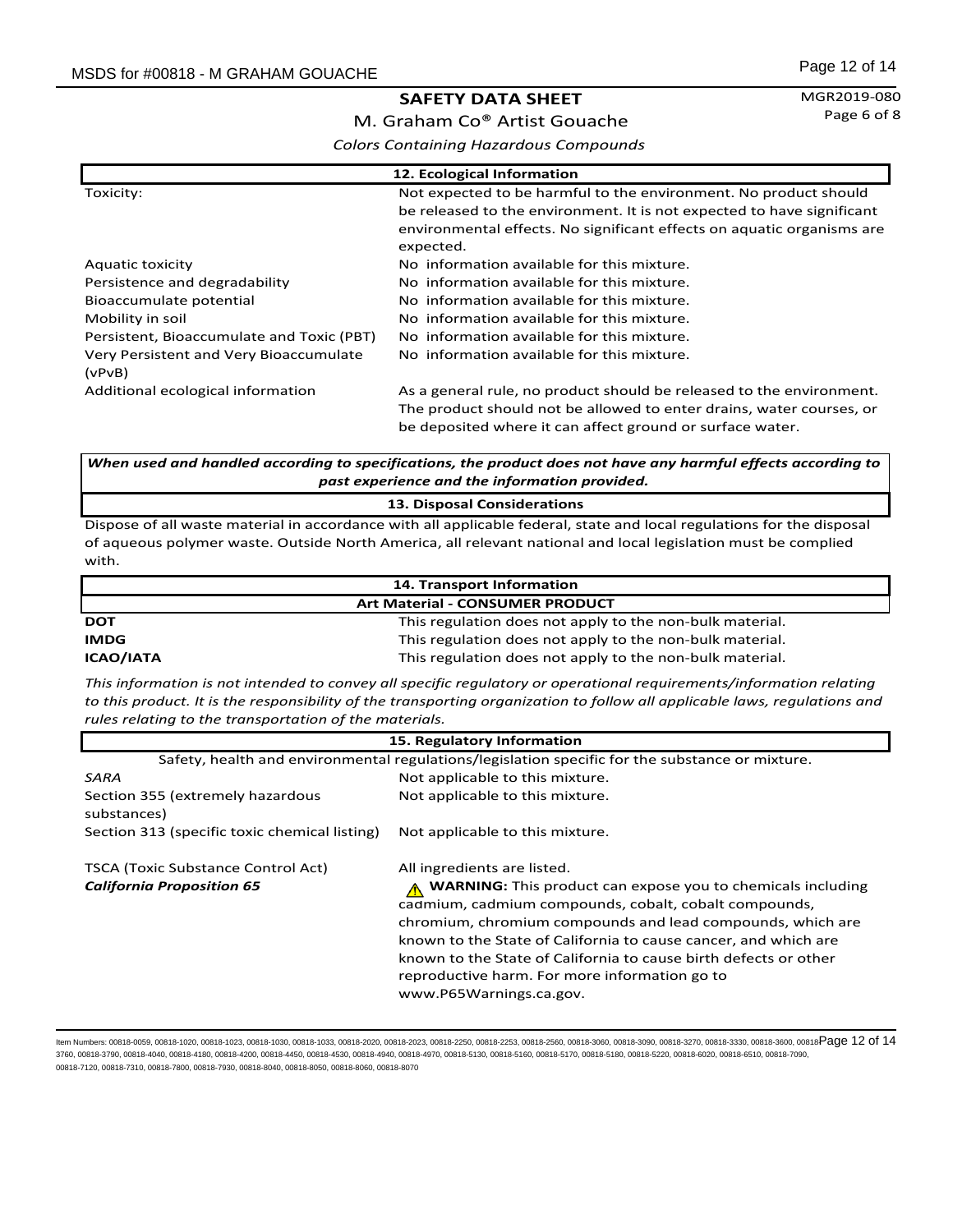MGR2019-080 Page 6 of 8

M. Graham Co® Artist Gouache *Colors Containing Hazardous Compounds*

| 12. Ecological Information                       |                                                                                                                                                                                                                                   |
|--------------------------------------------------|-----------------------------------------------------------------------------------------------------------------------------------------------------------------------------------------------------------------------------------|
| Toxicity:                                        | Not expected to be harmful to the environment. No product should<br>be released to the environment. It is not expected to have significant<br>environmental effects. No significant effects on aquatic organisms are<br>expected. |
| <b>Aquatic toxicity</b>                          | No information available for this mixture.                                                                                                                                                                                        |
| Persistence and degradability                    | No information available for this mixture.                                                                                                                                                                                        |
| Bioaccumulate potential                          | No information available for this mixture.                                                                                                                                                                                        |
| Mobility in soil                                 | No information available for this mixture.                                                                                                                                                                                        |
| Persistent, Bioaccumulate and Toxic (PBT)        | No information available for this mixture.                                                                                                                                                                                        |
| Very Persistent and Very Bioaccumulate<br>(vPvB) | No information available for this mixture.                                                                                                                                                                                        |
| Additional ecological information                | As a general rule, no product should be released to the environment.<br>The product should not be allowed to enter drains, water courses, or<br>be deposited where it can affect ground or surface water.                         |

*When used and handled according to specifications, the product does not have any harmful effects according to past experience and the information provided.*

#### **13. Disposal Considerations**

Dispose of all waste material in accordance with all applicable federal, state and local regulations for the disposal of aqueous polymer waste. Outside North America, all relevant national and local legislation must be complied with.

| 14. Transport Information              |                                                          |
|----------------------------------------|----------------------------------------------------------|
| <b>Art Material - CONSUMER PRODUCT</b> |                                                          |
| <b>DOT</b>                             | This regulation does not apply to the non-bulk material. |
| <b>IMDG</b>                            | This regulation does not apply to the non-bulk material. |
| <b>ICAO/IATA</b>                       | This regulation does not apply to the non-bulk material. |

*This information is not intended to convey all specific regulatory or operational requirements/information relating to this product. It is the responsibility of the transporting organization to follow all applicable laws, regulations and rules relating to the transportation of the materials.* 

| 15. Regulatory Information                                                                      |                                                                                                                                                                                                                                                                                                                                                                                                              |  |
|-------------------------------------------------------------------------------------------------|--------------------------------------------------------------------------------------------------------------------------------------------------------------------------------------------------------------------------------------------------------------------------------------------------------------------------------------------------------------------------------------------------------------|--|
| Safety, health and environmental regulations/legislation specific for the substance or mixture. |                                                                                                                                                                                                                                                                                                                                                                                                              |  |
| SARA                                                                                            | Not applicable to this mixture.                                                                                                                                                                                                                                                                                                                                                                              |  |
| Section 355 (extremely hazardous<br>substances)                                                 | Not applicable to this mixture.                                                                                                                                                                                                                                                                                                                                                                              |  |
| Section 313 (specific toxic chemical listing)                                                   | Not applicable to this mixture.                                                                                                                                                                                                                                                                                                                                                                              |  |
| <b>TSCA (Toxic Substance Control Act)</b>                                                       | All ingredients are listed.                                                                                                                                                                                                                                                                                                                                                                                  |  |
| <b>California Proposition 65</b>                                                                | <b>WARNING:</b> This product can expose you to chemicals including<br>cadmium, cadmium compounds, cobalt, cobalt compounds,<br>chromium, chromium compounds and lead compounds, which are<br>known to the State of California to cause cancer, and which are<br>known to the State of California to cause birth defects or other<br>reproductive harm. For more information go to<br>www.P65Warnings.ca.gov. |  |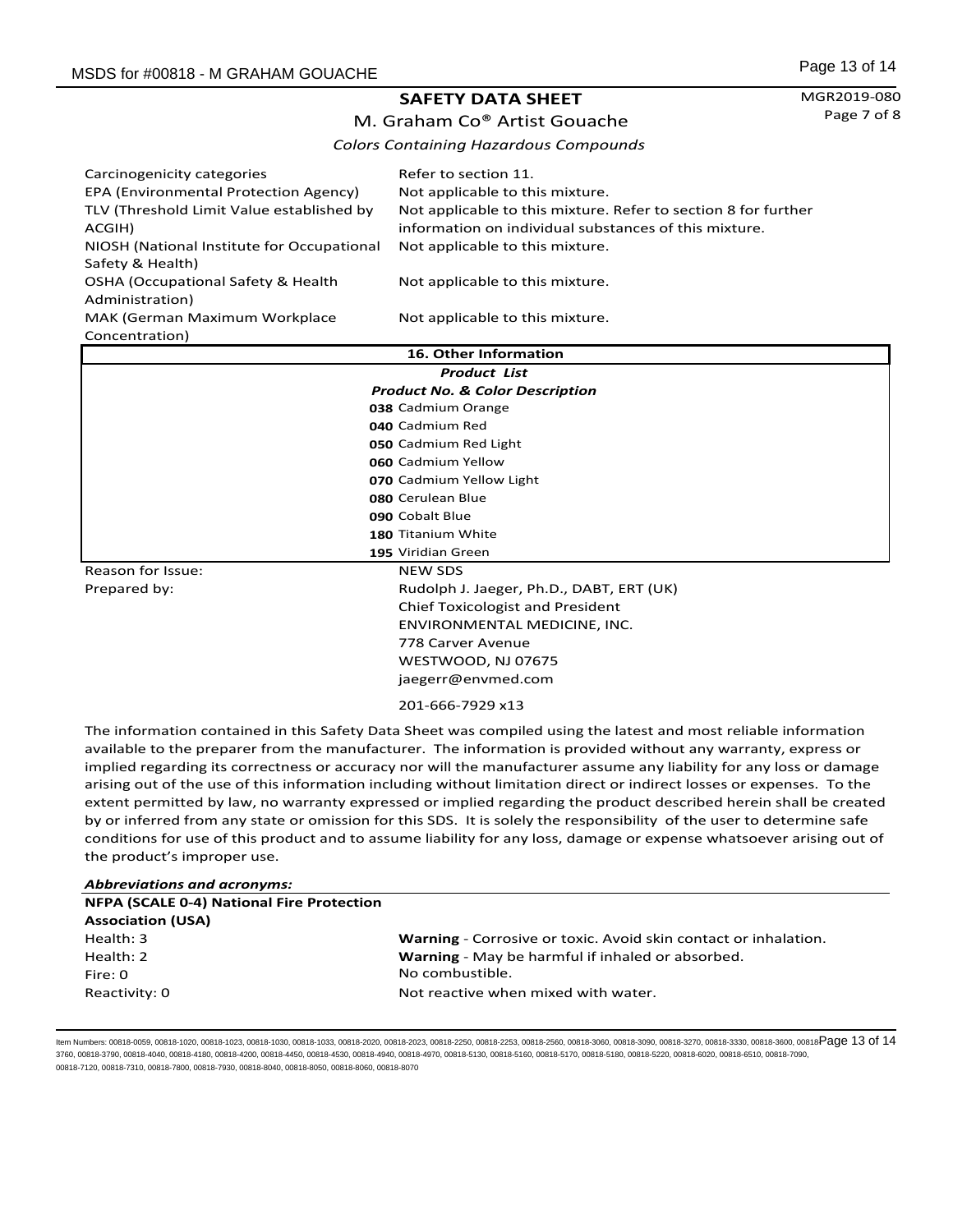MGR2019-080 Page 7 of 8

# M. Graham Co® Artist Gouache *Colors Containing Hazardous Compounds*

| Carcinogenicity categories<br>EPA (Environmental Protection Agency)<br>TLV (Threshold Limit Value established by | Refer to section 11.<br>Not applicable to this mixture.<br>Not applicable to this mixture. Refer to section 8 for further |
|------------------------------------------------------------------------------------------------------------------|---------------------------------------------------------------------------------------------------------------------------|
| ACGIH)                                                                                                           | information on individual substances of this mixture.                                                                     |
| NIOSH (National Institute for Occupational                                                                       | Not applicable to this mixture.                                                                                           |
| Safety & Health)                                                                                                 |                                                                                                                           |
| OSHA (Occupational Safety & Health                                                                               | Not applicable to this mixture.                                                                                           |
| Administration)                                                                                                  |                                                                                                                           |
| MAK (German Maximum Workplace                                                                                    | Not applicable to this mixture.                                                                                           |
| Concentration)                                                                                                   |                                                                                                                           |

| 16. Other Information |                                            |  |
|-----------------------|--------------------------------------------|--|
| <b>Product List</b>   |                                            |  |
|                       | <b>Product No. &amp; Color Description</b> |  |
|                       | 038 Cadmium Orange                         |  |
|                       | 040 Cadmium Red                            |  |
|                       | 050 Cadmium Red Light                      |  |
|                       | 060 Cadmium Yellow                         |  |
|                       | 070 Cadmium Yellow Light                   |  |
|                       | 080 Cerulean Blue                          |  |
|                       | 090 Cobalt Blue                            |  |
|                       | 180 Titanium White                         |  |
|                       | 195 Viridian Green                         |  |
| Reason for Issue:     | <b>NEW SDS</b>                             |  |
| Prepared by:          | Rudolph J. Jaeger, Ph.D., DABT, ERT (UK)   |  |
|                       | <b>Chief Toxicologist and President</b>    |  |
|                       | ENVIRONMENTAL MEDICINE, INC.               |  |
|                       | 778 Carver Avenue                          |  |
|                       | WESTWOOD, NJ 07675                         |  |
|                       | jaegerr@envmed.com                         |  |

201-666-7929 x13

The information contained in this Safety Data Sheet was compiled using the latest and most reliable information available to the preparer from the manufacturer. The information is provided without any warranty, express or implied regarding its correctness or accuracy nor will the manufacturer assume any liability for any loss or damage arising out of the use of this information including without limitation direct or indirect losses or expenses. To the extent permitted by law, no warranty expressed or implied regarding the product described herein shall be created by or inferred from any state or omission for this SDS. It is solely the responsibility of the user to determine safe conditions for use of this product and to assume liability for any loss, damage or expense whatsoever arising out of the product's improper use.

| <b>Abbreviations and acronyms:</b>               |                                                                 |
|--------------------------------------------------|-----------------------------------------------------------------|
| <b>NFPA (SCALE 0-4) National Fire Protection</b> |                                                                 |
| <b>Association (USA)</b>                         |                                                                 |
| Health: 3                                        | Warning - Corrosive or toxic. Avoid skin contact or inhalation. |
| Health: 2                                        | Warning - May be harmful if inhaled or absorbed.                |
| Fire: 0                                          | No combustible.                                                 |
| Reactivity: 0                                    | Not reactive when mixed with water.                             |